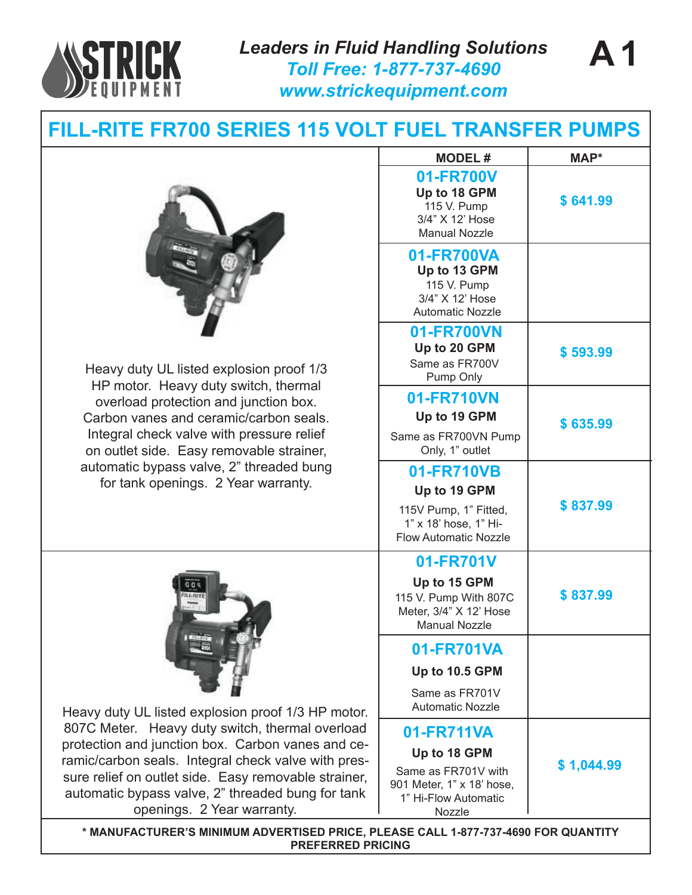

*Leaders in Fluid Handling Solutions Toll Free: 1-877-737-4690 www.strickequipment.com*

## **FILL-RITE FR700 SERIES 115 VOLT FUEL TRANSFER PUMPS**



Heavy duty UL listed explosion proof 1/3 HP motor. Heavy duty switch, thermal overload protection and junction box. Carbon vanes and ceramic/carbon seals. Integral check valve with pressure relief on outlet side. Easy removable strainer, automatic bypass valve, 2" threaded bung for tank openings. 2 Year warranty.



Heavy duty UL listed explosion proof 1/3 HP motor. 807C Meter. Heavy duty switch, thermal overload protection and junction box. Carbon vanes and ceramic/carbon seals. Integral check valve with pressure relief on outlet side. Easy removable strainer, automatic bypass valve, 2" threaded bung for tank openings. 2 Year warranty.

| <b>MODEL#</b>                                                                                                    | MAP*       |
|------------------------------------------------------------------------------------------------------------------|------------|
| 01-FR700V<br>Up to 18 GPM<br>115 V. Pump<br>3/4" X 12' Hose<br><b>Manual Nozzle</b>                              | \$641.99   |
| 01-FR700VA<br>Up to 13 GPM<br>115 V. Pump<br>3/4" X 12' Hose<br><b>Automatic Nozzle</b>                          |            |
| 01-FR700VN<br>Up to 20 GPM<br>Same as FR700V<br>Pump Only                                                        | \$593.99   |
| 01-FR710VN<br>Up to 19 GPM<br>Same as FR700VN Pump<br>Only, 1" outlet                                            | \$635.99   |
| 01-FR710VB<br>Up to 19 GPM<br>115V Pump, 1" Fitted,<br>1" x 18' hose, 1" Hi-<br><b>Flow Automatic Nozzle</b>     | \$837.99   |
| 01-FR701V<br>Up to 15 GPM<br>115 V. Pump With 807C<br>Meter, 3/4" X 12' Hose<br><b>Manual Nozzle</b>             | \$837.99   |
| 01-FR701VA<br>Up to 10.5 GPM<br>Same as FR701V<br><b>Automatic Nozzle</b>                                        |            |
| 01-FR711VA<br>Up to 18 GPM<br>Same as FR701V with<br>901 Meter, 1" x 18' hose,<br>1" Hi-Flow Automatic<br>Nozzle | \$1,044.99 |

**\* MANUFACTURER'S MINIMUM ADVERTISED PRICE, PLEASE CALL 1-877-737-4690 FOR QUANTITY PREFERRED PRICING**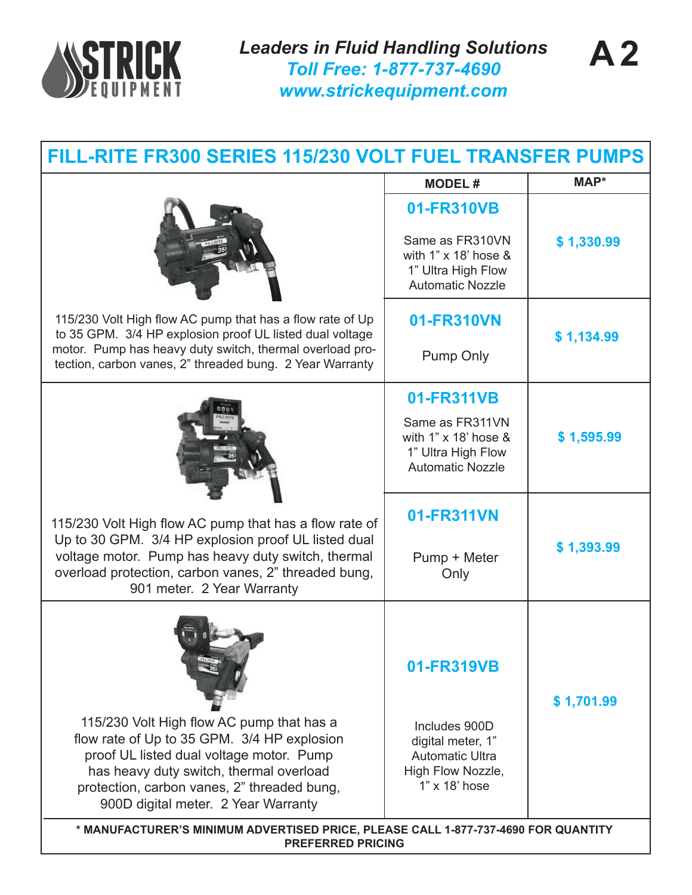

| FILL-RITE FR300 SERIES 115/230 VOLT FUEL TRANSFER PUMPS                                                                                                                                                                                                               |                                                                                                                      |            |  |
|-----------------------------------------------------------------------------------------------------------------------------------------------------------------------------------------------------------------------------------------------------------------------|----------------------------------------------------------------------------------------------------------------------|------------|--|
|                                                                                                                                                                                                                                                                       | <b>MODEL#</b>                                                                                                        | MAP*       |  |
|                                                                                                                                                                                                                                                                       | 01-FR310VB<br>Same as FR310VN<br>with $1" \times 18'$ hose &<br>1" Ultra High Flow<br><b>Automatic Nozzle</b>        | \$1,330.99 |  |
| 115/230 Volt High flow AC pump that has a flow rate of Up<br>to 35 GPM. 3/4 HP explosion proof UL listed dual voltage<br>motor. Pump has heavy duty switch, thermal overload pro-<br>tection, carbon vanes, 2" threaded bung. 2 Year Warranty                         | 01-FR310VN<br><b>Pump Only</b>                                                                                       | \$1,134.99 |  |
|                                                                                                                                                                                                                                                                       | 01-FR311VB<br>Same as FR311VN<br>with $1" \times 18'$ hose &<br>1" Ultra High Flow<br><b>Automatic Nozzle</b>        | \$1,595.99 |  |
| 115/230 Volt High flow AC pump that has a flow rate of<br>Up to 30 GPM. 3/4 HP explosion proof UL listed dual<br>voltage motor. Pump has heavy duty switch, thermal<br>overload protection, carbon vanes, 2" threaded bung,<br>901 meter. 2 Year Warranty             | 01-FR311VN<br>Pump + Meter<br>Only                                                                                   | \$1,393.99 |  |
| 115/230 Volt High flow AC pump that has a<br>flow rate of Up to 35 GPM. 3/4 HP explosion<br>proof UL listed dual voltage motor. Pump<br>has heavy duty switch, thermal overload<br>protection, carbon vanes, 2" threaded bung,<br>900D digital meter. 2 Year Warranty | 01-FR319VB<br>Includes 900D<br>digital meter, 1"<br><b>Automatic Ultra</b><br>High Flow Nozzle,<br>$1"$ x $18'$ hose | \$1,701.99 |  |
| * MANUFACTURER'S MINIMUM ADVERTISED PRICE, PLEASE CALL 1-877-737-4690 FOR QUANTITY<br><b>PREFERRED PRICING</b>                                                                                                                                                        |                                                                                                                      |            |  |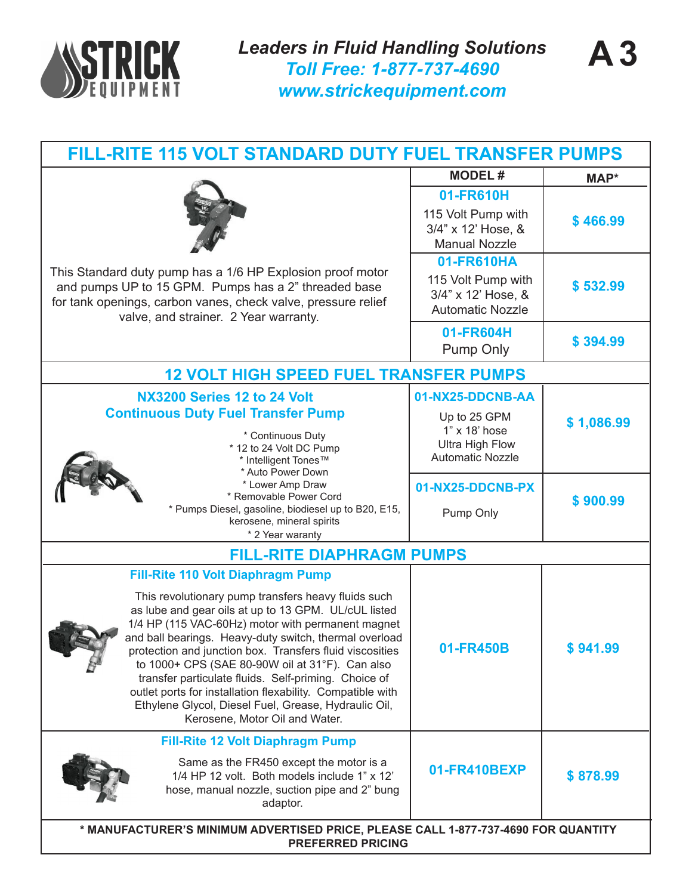

| <b>FILL-RITE 115 VOLT STANDARD DUTY FUEL TRANSFER PUMPS</b>                                                                                                                                                                                                                                                                                                                                                                                                                                                                                                                                           |                                                                                    |            |
|-------------------------------------------------------------------------------------------------------------------------------------------------------------------------------------------------------------------------------------------------------------------------------------------------------------------------------------------------------------------------------------------------------------------------------------------------------------------------------------------------------------------------------------------------------------------------------------------------------|------------------------------------------------------------------------------------|------------|
|                                                                                                                                                                                                                                                                                                                                                                                                                                                                                                                                                                                                       | <b>MODEL#</b>                                                                      | MAP*       |
| This Standard duty pump has a 1/6 HP Explosion proof motor<br>and pumps UP to 15 GPM. Pumps has a 2" threaded base<br>for tank openings, carbon vanes, check valve, pressure relief<br>valve, and strainer. 2 Year warranty.                                                                                                                                                                                                                                                                                                                                                                          | 01-FR610H<br>115 Volt Pump with<br>3/4" x 12' Hose, &<br><b>Manual Nozzle</b>      | \$466.99   |
|                                                                                                                                                                                                                                                                                                                                                                                                                                                                                                                                                                                                       | 01-FR610HA<br>115 Volt Pump with<br>3/4" x 12' Hose, &<br><b>Automatic Nozzle</b>  | \$532.99   |
|                                                                                                                                                                                                                                                                                                                                                                                                                                                                                                                                                                                                       | 01-FR604H<br><b>Pump Only</b>                                                      | \$394.99   |
| <b>12 VOLT HIGH SPEED FUEL TRANSFER PUMPS</b>                                                                                                                                                                                                                                                                                                                                                                                                                                                                                                                                                         |                                                                                    |            |
| NX3200 Series 12 to 24 Volt                                                                                                                                                                                                                                                                                                                                                                                                                                                                                                                                                                           | 01-NX25-DDCNB-AA                                                                   |            |
| <b>Continuous Duty Fuel Transfer Pump</b><br>* Continuous Duty<br>* 12 to 24 Volt DC Pump<br>* Intelligent Tones™<br>* Auto Power Down<br>* Lower Amp Draw<br>* Removable Power Cord<br>* Pumps Diesel, gasoline, biodiesel up to B20, E15,<br>kerosene, mineral spirits<br>* 2 Year waranty                                                                                                                                                                                                                                                                                                          | Up to 25 GPM<br>1" x 18' hose<br><b>Ultra High Flow</b><br><b>Automatic Nozzle</b> | \$1,086.99 |
|                                                                                                                                                                                                                                                                                                                                                                                                                                                                                                                                                                                                       | 01-NX25-DDCNB-PX<br>Pump Only                                                      | \$900.99   |
| <b>FILL-RITE DIAPHRAGM PUMPS</b>                                                                                                                                                                                                                                                                                                                                                                                                                                                                                                                                                                      |                                                                                    |            |
| <b>Fill-Rite 110 Volt Diaphragm Pump</b><br>This revolutionary pump transfers heavy fluids such<br>as lube and gear oils at up to 13 GPM. UL/cUL listed<br>1/4 HP (115 VAC-60Hz) motor with permanent magnet<br>and ball bearings. Heavy-duty switch, thermal overload<br>protection and junction box. Transfers fluid viscosities<br>to 1000+ CPS (SAE 80-90W oil at 31°F). Can also<br>transfer particulate fluids. Self-priming. Choice of<br>outlet ports for installation flexability. Compatible with<br>Ethylene Glycol, Diesel Fuel, Grease, Hydraulic Oil,<br>Kerosene, Motor Oil and Water. | 01-FR450B                                                                          | ৯ ୨४१.५५   |
| <b>Fill-Rite 12 Volt Diaphragm Pump</b><br>Same as the FR450 except the motor is a<br>1/4 HP 12 volt. Both models include 1" x 12"<br>hose, manual nozzle, suction pipe and 2" bung<br>adaptor.                                                                                                                                                                                                                                                                                                                                                                                                       | 01-FR410BEXP                                                                       | \$878.99   |
| * MANUFACTURER'S MINIMUM ADVERTISED PRICE, PLEASE CALL 1-877-737-4690 FOR QUANTITY<br><b>PREFERRED PRICING</b>                                                                                                                                                                                                                                                                                                                                                                                                                                                                                        |                                                                                    |            |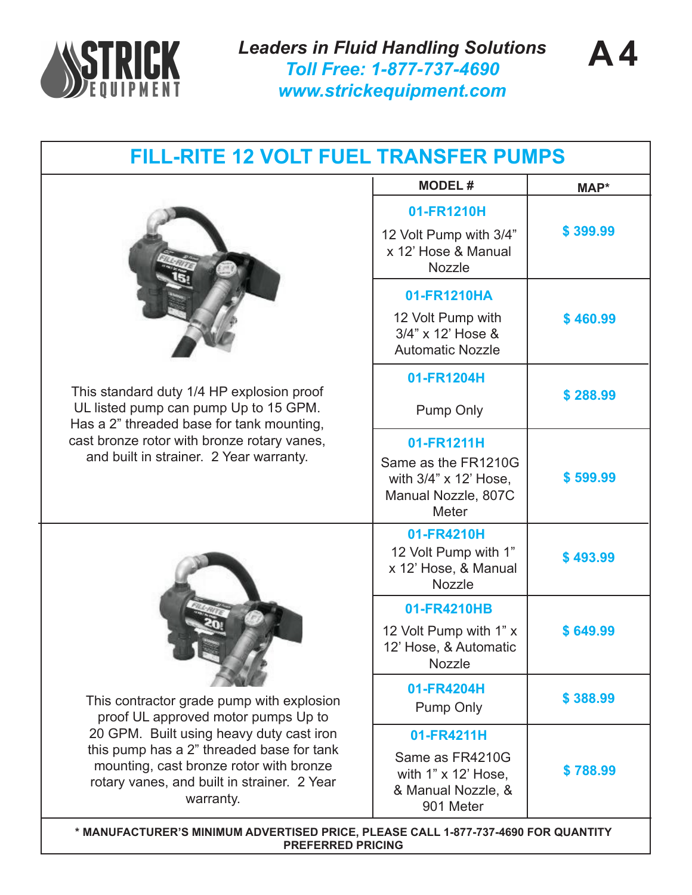

*Leaders in Fluid Handling Solutions Toll Free: 1-877-737-4690 www.strickequipment.com*



| FILL-RITE 12 VOLT FUEL TRANSFER PUMPS                                                                                                                                                                                                                                            |                                                                                  |          |
|----------------------------------------------------------------------------------------------------------------------------------------------------------------------------------------------------------------------------------------------------------------------------------|----------------------------------------------------------------------------------|----------|
|                                                                                                                                                                                                                                                                                  | <b>MODEL#</b>                                                                    | MAP*     |
|                                                                                                                                                                                                                                                                                  | 01-FR1210H                                                                       |          |
|                                                                                                                                                                                                                                                                                  | 12 Volt Pump with 3/4"<br>x 12' Hose & Manual<br><b>Nozzle</b>                   | \$399.99 |
|                                                                                                                                                                                                                                                                                  | 01-FR1210HA                                                                      |          |
|                                                                                                                                                                                                                                                                                  | 12 Volt Pump with<br>3/4" x 12' Hose &<br><b>Automatic Nozzle</b>                | \$460.99 |
|                                                                                                                                                                                                                                                                                  | 01-FR1204H                                                                       |          |
| This standard duty 1/4 HP explosion proof<br>UL listed pump can pump Up to 15 GPM.<br>Has a 2" threaded base for tank mounting,                                                                                                                                                  | <b>Pump Only</b>                                                                 | \$288.99 |
| cast bronze rotor with bronze rotary vanes,                                                                                                                                                                                                                                      | 01-FR1211H                                                                       |          |
| and built in strainer. 2 Year warranty.                                                                                                                                                                                                                                          | Same as the FR1210G<br>with 3/4" x 12' Hose,<br>Manual Nozzle, 807C<br>Meter     | \$599.99 |
|                                                                                                                                                                                                                                                                                  | 01-FR4210H<br>12 Volt Pump with 1"<br>x 12' Hose, & Manual<br>Nozzle             | \$493.99 |
|                                                                                                                                                                                                                                                                                  | 01-FR4210HB                                                                      |          |
| This contractor grade pump with explosion<br>proof UL approved motor pumps Up to<br>20 GPM. Built using heavy duty cast iron<br>this pump has a 2" threaded base for tank<br>mounting, cast bronze rotor with bronze<br>rotary vanes, and built in strainer. 2 Year<br>warranty. | 12 Volt Pump with 1" x<br>12' Hose, & Automatic<br>Nozzle                        | \$649.99 |
|                                                                                                                                                                                                                                                                                  | 01-FR4204H<br>Pump Only                                                          | \$388.99 |
|                                                                                                                                                                                                                                                                                  | 01-FR4211H                                                                       |          |
|                                                                                                                                                                                                                                                                                  | Same as FR4210G<br>with $1" \times 12'$ Hose,<br>& Manual Nozzle, &<br>901 Meter | \$788.99 |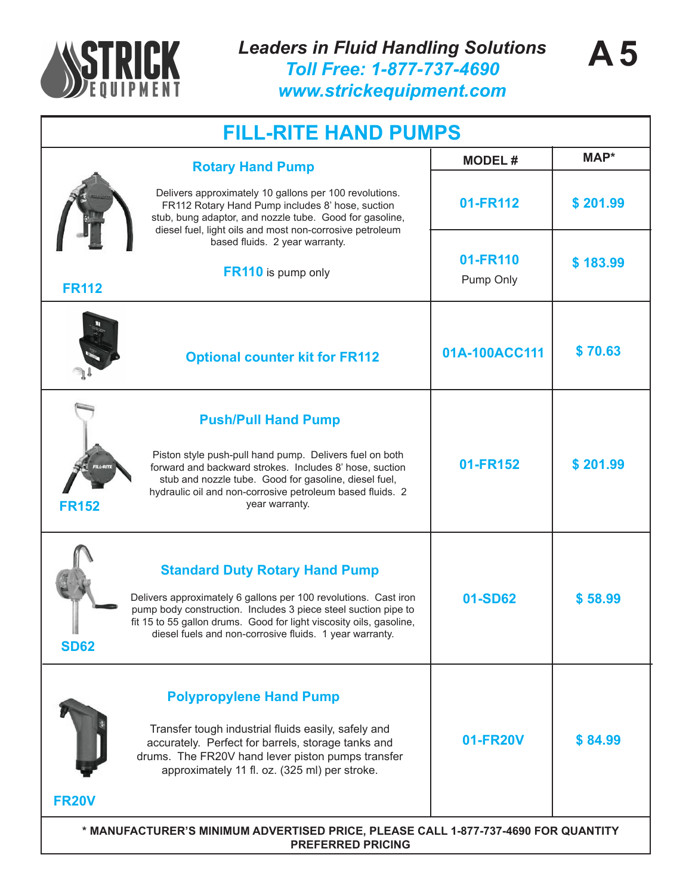

| <b>FILL-RITE HAND PUMPS</b>                                                                                                                                                                                                                                                                                                 |                       |          |  |
|-----------------------------------------------------------------------------------------------------------------------------------------------------------------------------------------------------------------------------------------------------------------------------------------------------------------------------|-----------------------|----------|--|
| <b>Rotary Hand Pump</b>                                                                                                                                                                                                                                                                                                     | <b>MODEL#</b>         | MAP*     |  |
| Delivers approximately 10 gallons per 100 revolutions.<br>FR112 Rotary Hand Pump includes 8' hose, suction<br>stub, bung adaptor, and nozzle tube. Good for gasoline,<br>diesel fuel, light oils and most non-corrosive petroleum                                                                                           | 01-FR112              | \$201.99 |  |
| based fluids. 2 year warranty.<br><b>FR110</b> is pump only<br><b>FR112</b>                                                                                                                                                                                                                                                 | 01-FR110<br>Pump Only | \$183.99 |  |
| <b>Optional counter kit for FR112</b>                                                                                                                                                                                                                                                                                       | 01A-100ACC111         | \$70.63  |  |
| <b>Push/Pull Hand Pump</b><br>Piston style push-pull hand pump. Delivers fuel on both<br>forward and backward strokes. Includes 8' hose, suction<br>stub and nozzle tube. Good for gasoline, diesel fuel,<br>hydraulic oil and non-corrosive petroleum based fluids. 2<br><b>FR152</b><br>year warranty.                    | 01-FR152              | \$201.99 |  |
| <b>Standard Duty Rotary Hand Pump</b><br>Delivers approximately 6 gallons per 100 revolutions. Cast iron<br>pump body construction. Includes 3 piece steel suction pipe to<br>fit 15 to 55 gallon drums. Good for light viscosity oils, gasoline,<br>diesel fuels and non-corrosive fluids. 1 year warranty.<br><b>SD62</b> | 01-SD62               | \$58.99  |  |
| <b>Polypropylene Hand Pump</b><br>Transfer tough industrial fluids easily, safely and<br>accurately. Perfect for barrels, storage tanks and<br>drums. The FR20V hand lever piston pumps transfer<br>approximately 11 fl. oz. (325 ml) per stroke.<br><b>FR20V</b>                                                           | 01-FR20V              | \$84.99  |  |
| * MANUFACTURER'S MINIMUM ADVERTISED PRICE, PLEASE CALL 1-877-737-4690 FOR QUANTITY<br><b>PREFERRED PRICING</b>                                                                                                                                                                                                              |                       |          |  |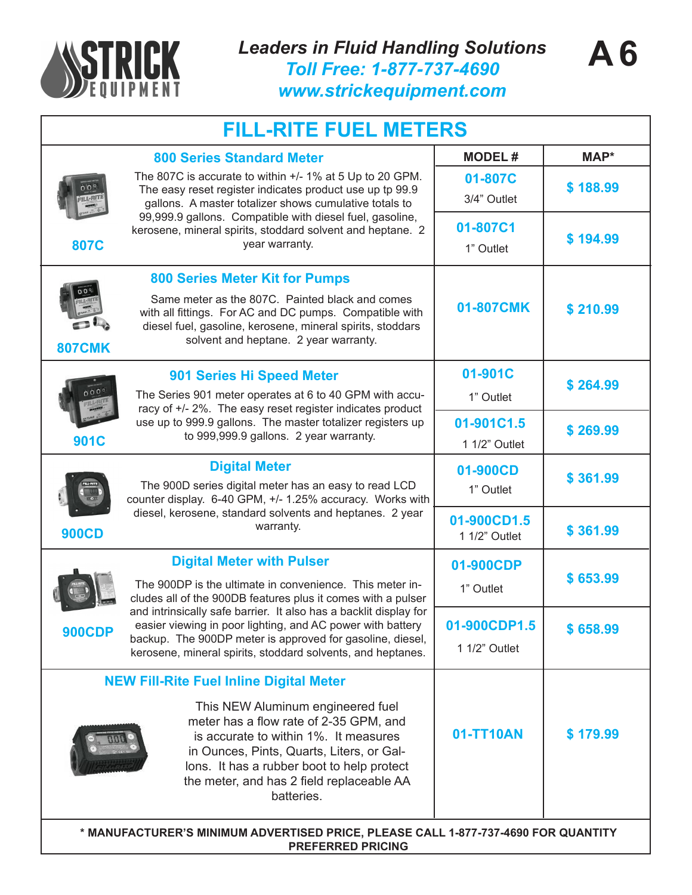

## **MODEL # MAP\* FILL-RITE FUEL METERS Digital Meter with Pulser** The 900DP is the ultimate in convenience. This meter includes all of the 900DB features plus it comes with a pulser and intrinsically safe barrier. It also has a backlit display for easier viewing in poor lighting, and AC power with battery backup. The 900DP meter is approved for gasoline, diesel, kerosene, mineral spirits, stoddard solvents, and heptanes. **900CDP 01-900CDP** 1" Outlet **01-900CDP1.5** 1 1/2" Outlet **\$ 653.99 \$ 658.99 Digital Meter 900CD** The 900D series digital meter has an easy to read LCD counter display. 6-40 GPM, +/- 1.25% accuracy. Works with diesel, kerosene, standard solvents and heptanes. 2 year warranty. **01-900CD 01-900CD1.5** 1" Outlet 1 1/2" Outlet **\$ 361.99 \$ 361.99 901C 901 Series Hi Speed Meter** The Series 901 meter operates at 6 to 40 GPM with accuracy of +/- 2%. The easy reset register indicates product use up to 999.9 gallons. The master totalizer registers up to 999,999.9 gallons. 2 year warranty. **01-901C 01-901C1.5** 1" Outlet 1 1/2" Outlet **\$ 264.99 \$ 269.99 807CMK 01-807CMK 800 Series Meter Kit for Pumps** Same meter as the 807C. Painted black and comes with all fittings. For AC and DC pumps. Compatible with diesel fuel, gasoline, kerosene, mineral spirits, stoddars solvent and heptane. 2 year warranty. **\$ 210.99 807C 800 Series Standard Meter** The 807C is accurate to within +/- 1% at 5 Up to 20 GPM. The easy reset register indicates product use up tp 99.9 gallons. A master totalizer shows cumulative totals to 99,999.9 gallons. Compatible with diesel fuel, gasoline, kerosene, mineral spirits, stoddard solvent and heptane. 2 year warranty. **\$ 188.99 \$ 194.99 01-807C 01-807C1** 1" Outlet 3/4" Outlet **01-TT10AN \$ 179.99 NEW Fill-Rite Fuel Inline Digital Meter** This NEW Aluminum engineered fuel meter has a flow rate of 2-35 GPM, and is accurate to within 1%. It measures

**\* MANUFACTURER'S MINIMUM ADVERTISED PRICE, PLEASE CALL 1-877-737-4690 FOR QUANTITY**  lons. It has a rubber boot to help protect the meter, and has 2 field replaceable AA batteries.

in Ounces, Pints, Quarts, Liters, or Gal-

**PREFERRED PRICING**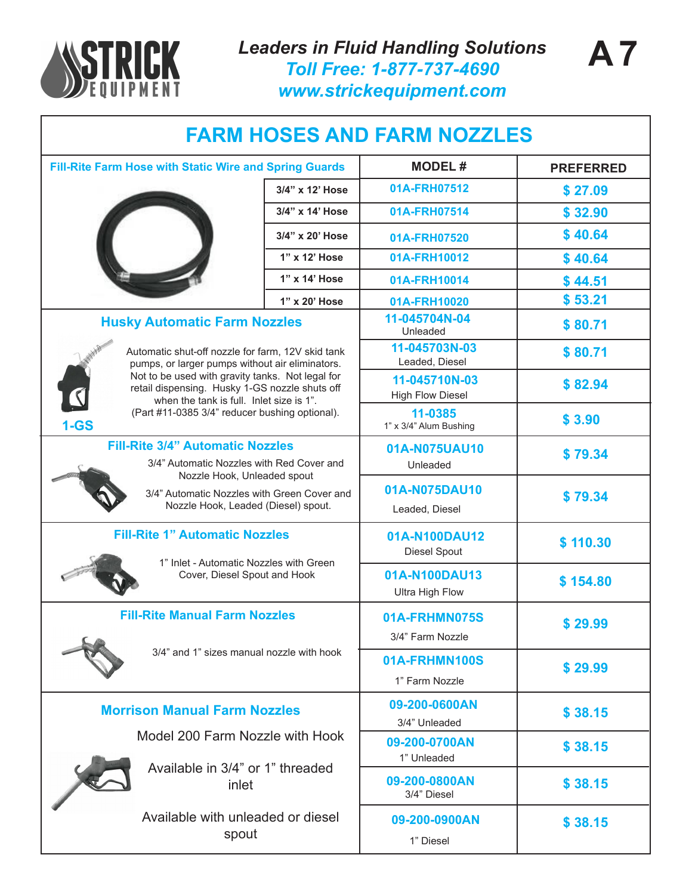

*Leaders in Fluid Handling Solutions Toll Free: 1-877-737-4690 www.strickequipment.com*

| <b>FARM HOSES AND FARM NOZZLES</b>                                                                                                                                                                                                                     |                 |                                          |                  |
|--------------------------------------------------------------------------------------------------------------------------------------------------------------------------------------------------------------------------------------------------------|-----------------|------------------------------------------|------------------|
| Fill-Rite Farm Hose with Static Wire and Spring Guards                                                                                                                                                                                                 |                 | <b>MODEL#</b>                            | <b>PREFERRED</b> |
|                                                                                                                                                                                                                                                        | 3/4" x 12' Hose | 01A-FRH07512                             | \$27.09          |
|                                                                                                                                                                                                                                                        | 3/4" x 14' Hose | 01A-FRH07514                             | \$32.90          |
|                                                                                                                                                                                                                                                        | 3/4" x 20' Hose | 01A-FRH07520                             | \$40.64          |
|                                                                                                                                                                                                                                                        | 1" x 12' Hose   | 01A-FRH10012                             | \$40.64          |
|                                                                                                                                                                                                                                                        | 1" x 14' Hose   | 01A-FRH10014                             | \$44.51          |
|                                                                                                                                                                                                                                                        | 1" x 20' Hose   | 01A-FRH10020                             | \$53.21          |
| <b>Husky Automatic Farm Nozzles</b>                                                                                                                                                                                                                    |                 | 11-045704N-04<br>Unleaded                | \$80.71          |
| Automatic shut-off nozzle for farm, 12V skid tank<br>pumps, or larger pumps without air eliminators.<br>Not to be used with gravity tanks. Not legal for<br>retail dispensing. Husky 1-GS nozzle shuts off<br>when the tank is full. Inlet size is 1". |                 | 11-045703N-03<br>Leaded, Diesel          | \$80.71          |
|                                                                                                                                                                                                                                                        |                 | 11-045710N-03<br><b>High Flow Diesel</b> | \$82.94          |
| (Part #11-0385 3/4" reducer bushing optional).<br>$1 - GS$                                                                                                                                                                                             |                 | 11-0385<br>1" x 3/4" Alum Bushing        | \$3.90           |
| <b>Fill-Rite 3/4" Automatic Nozzles</b><br>3/4" Automatic Nozzles with Red Cover and<br>Nozzle Hook, Unleaded spout<br>3/4" Automatic Nozzles with Green Cover and<br>Nozzle Hook, Leaded (Diesel) spout.                                              |                 | 01A-N075UAU10<br>Unleaded                | \$79.34          |
|                                                                                                                                                                                                                                                        |                 | 01A-N075DAU10<br>Leaded, Diesel          | \$79.34          |
| <b>Fill-Rite 1" Automatic Nozzles</b><br>1" Inlet - Automatic Nozzles with Green                                                                                                                                                                       |                 | 01A-N100DAU12<br><b>Diesel Spout</b>     | \$110.30         |
| Cover, Diesel Spout and Hook                                                                                                                                                                                                                           |                 | 01A-N100DAU13<br><b>Ultra High Flow</b>  | \$154.80         |
| <b>Fill-Rite Manual Farm Nozzles</b>                                                                                                                                                                                                                   |                 | 01A-FRHMN075S<br>3/4" Farm Nozzle        | \$29.99          |
| 3/4" and 1" sizes manual nozzle with hook                                                                                                                                                                                                              |                 | 01A-FRHMN100S<br>1" Farm Nozzle          | \$29.99          |
| <b>Morrison Manual Farm Nozzles</b>                                                                                                                                                                                                                    |                 | 09-200-0600AN<br>3/4" Unleaded           | \$38.15          |
| Model 200 Farm Nozzle with Hook                                                                                                                                                                                                                        |                 | 09-200-0700AN<br>1" Unleaded             | \$38.15          |
| Available in 3/4" or 1" threaded<br>inlet                                                                                                                                                                                                              |                 | 09-200-0800AN<br>3/4" Diesel             | \$38.15          |
| Available with unleaded or diesel<br>spout                                                                                                                                                                                                             |                 | 09-200-0900AN<br>1" Diesel               | \$38.15          |